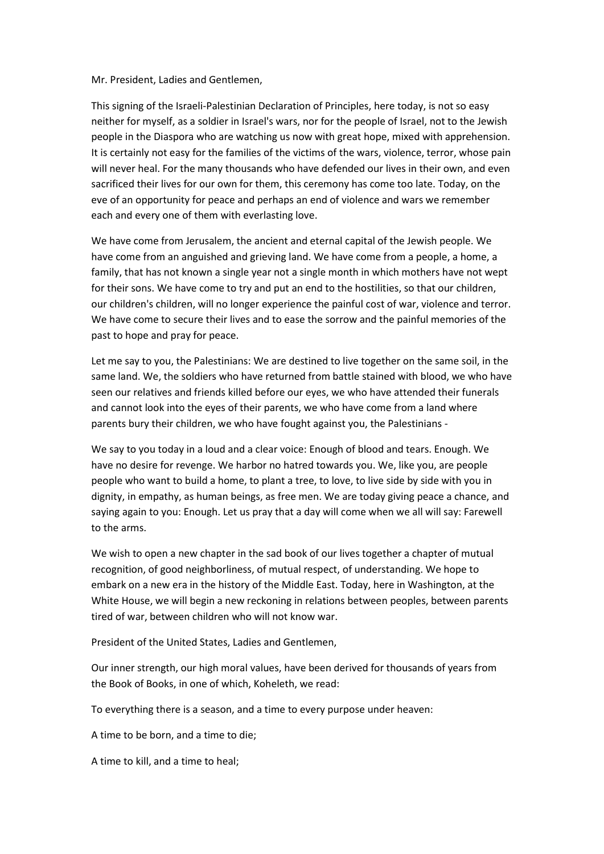## Mr. President, Ladies and Gentlemen,

This signing of the Israeli-Palestinian Declaration of Principles, here today, is not so easy neither for myself, as a soldier in Israel's wars, nor for the people of Israel, not to the Jewish people in the Diaspora who are watching us now with great hope, mixed with apprehension. It is certainly not easy for the families of the victims of the wars, violence, terror, whose pain will never heal. For the many thousands who have defended our lives in their own, and even sacrificed their lives for our own for them, this ceremony has come too late. Today, on the eve of an opportunity for peace and perhaps an end of violence and wars we remember each and every one of them with everlasting love.

We have come from Jerusalem, the ancient and eternal capital of the Jewish people. We have come from an anguished and grieving land. We have come from a people, a home, a family, that has not known a single year not a single month in which mothers have not wept for their sons. We have come to try and put an end to the hostilities, so that our children, our children's children, will no longer experience the painful cost of war, violence and terror. We have come to secure their lives and to ease the sorrow and the painful memories of the past to hope and pray for peace.

Let me say to you, the Palestinians: We are destined to live together on the same soil, in the same land. We, the soldiers who have returned from battle stained with blood, we who have seen our relatives and friends killed before our eyes, we who have attended their funerals and cannot look into the eyes of their parents, we who have come from a land where parents bury their children, we who have fought against you, the Palestinians -

We say to you today in a loud and a clear voice: Enough of blood and tears. Enough. We have no desire for revenge. We harbor no hatred towards you. We, like you, are people people who want to build a home, to plant a tree, to love, to live side by side with you in dignity, in empathy, as human beings, as free men. We are today giving peace a chance, and saying again to you: Enough. Let us pray that a day will come when we all will say: Farewell to the arms.

We wish to open a new chapter in the sad book of our lives together a chapter of mutual recognition, of good neighborliness, of mutual respect, of understanding. We hope to embark on a new era in the history of the Middle East. Today, here in Washington, at the White House, we will begin a new reckoning in relations between peoples, between parents tired of war, between children who will not know war.

President of the United States, Ladies and Gentlemen,

Our inner strength, our high moral values, have been derived for thousands of years from the Book of Books, in one of which, Koheleth, we read:

To everything there is a season, and a time to every purpose under heaven:

A time to be born, and a time to die;

A time to kill, and a time to heal;